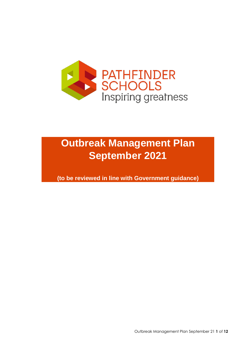

# **Outbreak Management Plan September 2021**

**(to be reviewed in line with Government guidance)**

Outbreak Management Plan September 21 **1** of **12**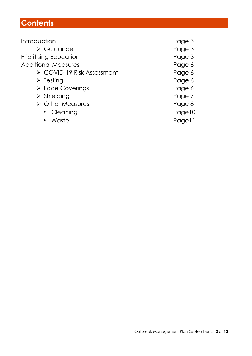## **Contents**

| Introduction                              | Page 3 |
|-------------------------------------------|--------|
| $\triangleright$ Guidance                 | Page 3 |
| <b>Prioritising Education</b>             | Page 3 |
| <b>Additional Measures</b>                | Page 6 |
| $\triangleright$ COVID-19 Risk Assessment | Page 6 |
| $\triangleright$ Testing                  | Page 6 |
| $\triangleright$ Face Coverings           | Page 6 |
| $\triangleright$ Shielding                | Page 7 |
| $\triangleright$ Other Measures           | Page 8 |
| • Cleaning                                | Page10 |
| Waste                                     | Pagell |
|                                           |        |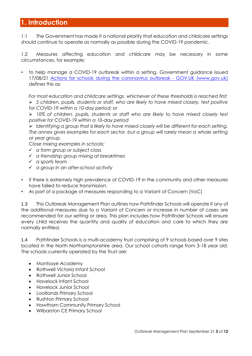## **1. Introduction**

1.1 The Government has made it a national priority that education and childcare settings should continue to operate as normally as possible during the COVID-19 pandemic.

1.2 Measures affecting education and childcare may be necessary in some circumstances, for example:

• to help manage a COVID-19 outbreak within a setting. Government guidance issued 17/08/21 [Actions for schools during the coronavirus outbreak -](https://www.gov.uk/government/publications/actions-for-schools-during-the-coronavirus-outbreak) GOV.UK (www.gov.uk) defines this as:

*For most education and childcare settings, whichever of these thresholds is reached first:*  ➢ *5 children, pupils, students or staff, who are likely to have mixed closely, test positive for COVID-19 within a 10-day period; or*

➢ *10% of children, pupils, students or staff who are likely to have mixed closely test positive for COVID-19 within a 10-day period*

➢ *Identifying a group that is likely to have mixed closely will be different for each setting. The annex gives examples for each sector, but a group will rarely mean a whole setting or year group.*

*Close mixing examples in schools:*

- ✓ *a form group or subject class*
- ✓ *a friendship group mixing at breaktimes*
- ✓ *a sports team*
- ✓ *a group in an after-school activity*
- if there is extremely high prevalence of COVID-19 in the community and other measures have failed to reduce transmission.
- As part of a package of measures responding to a Variant of Concern (VoC)

1.3 This Outbreak Management Plan outlines how Pathfinder Schools will operate if any of the additional measures due to a Variant of Concern or increase in number of cases are recommended for our setting or area. This plan includes how Pathfinder Schools will ensure every child receives the quantity and quality of education and care to which they are normally entitled.

1.4 Pathfinder Schools is a multi-academy trust comprising of 9 schools based over 9 sites located in the North Northamptonshire area. Our school cohorts range from 3-18 year old. The schools currently operated by the Trust are:

- Montsaye Academy
- Rothwell Victoria Infant School
- Rothwell Junior School
- Havelock Infant School
- Havelock Junior School
- Loatlands Primary School
- Rushton Primary School
- Hawthorn Community Primary School
- Wilbarston CE Primary School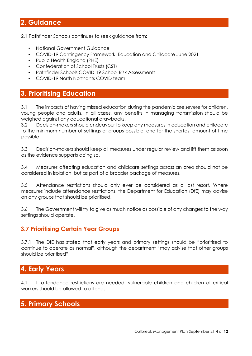## **2. Guidance**

2.1 Pathfinder Schools continues to seek guidance from:

- National Government Guidance
- COVID-19 Contingency Framework: Education and Childcare June 2021
- Public Health England (PHE)
- Confederation of School Trusts (CST)
- Pathfinder Schools COVID-19 School Risk Assessments
- COVID-19 North Northants COVID team

#### **3. Prioritising Education**

3.1 The impacts of having missed education during the pandemic are severe for children, young people and adults. In all cases, any benefits in managing transmission should be weighed against any educational drawbacks.

3.2 Decision-makers should endeavour to keep any measures in education and childcare to the minimum number of settings or groups possible, and for the shortest amount of time possible.

3.3 Decision-makers should keep all measures under regular review and lift them as soon as the evidence supports doing so.

3.4 Measures affecting education and childcare settings across an area should not be considered in isolation, but as part of a broader package of measures.

3.5 Attendance restrictions should only ever be considered as a last resort. Where measures include attendance restrictions, the Department for Education (DfE) may advise on any groups that should be prioritised.

3.6 The Government will try to give as much notice as possible of any changes to the way settings should operate.

#### **3.7 Prioritising Certain Year Groups**

3.7.1 The DfE has stated that early years and primary settings should be "prioritised to continue to operate as normal", although the department "may advise that other groups should be prioritised".

#### **4. Early Years**

4.1 If attendance restrictions are needed, vulnerable children and children of critical workers should be allowed to attend.

## **5. Primary Schools**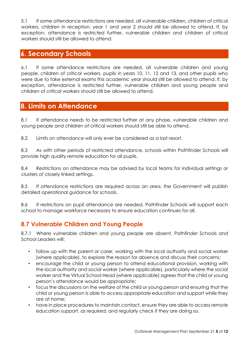5.1 If some attendance restrictions are needed, all vulnerable children, children of critical workers, children in reception, year 1 and year 2 should still be allowed to attend. If, by exception, attendance is restricted further, vulnerable children and children of critical workers should still be allowed to attend.

## **6. Secondary Schools**

6.1 If some attendance restrictions are needed, all vulnerable children and young people, children of critical workers, pupils in years 10, 11, 12 and 13, and other pupils who were due to take external exams this academic year should still be allowed to attend. If, by exception, attendance is restricted further, vulnerable children and young people and children of critical workers should still be allowed to attend.

#### **8. Limits on Attendance**

8.1 If attendance needs to be restricted further at any phase, vulnerable children and young people and children of critical workers should still be able to attend.

8.2 Limits on attendance will only ever be considered as a last resort.

8.3 As with other periods of restricted attendance, schools within Pathfinder Schools will provide high quality remote education for all pupils.

8.4 Restrictions on attendance may be advised by local teams for individual settings or clusters of closely linked settings.

8.5 If attendance restrictions are required across an area, the Government will publish detailed operational guidance for schools.

8.6 If restrictions on pupil attendance are needed, Pathfinder Schools will support each school to manage workforce necessary to ensure education continues for all.

#### **8.7 Vulnerable Children and Young People**

8.7.1 Where vulnerable children and young people are absent, Pathfinder Schools and School Leaders will:

- follow up with the parent or carer, working with the local authority and social worker (where applicable), to explore the reason for absence and discuss their concerns;
- encourage the child or young person to attend educational provision, working with the local authority and social worker (where applicable), particularly where the social worker and the Virtual School Head (where applicable) agrees that the child or young person's attendance would be appropriate;
- focus the discussions on the welfare of the child or young person and ensuring that the child or young person is able to access appropriate education and support while they are at home;
- have in place procedures to maintain contact, ensure they are able to access remote education support, as required, and regularly check if they are doing so.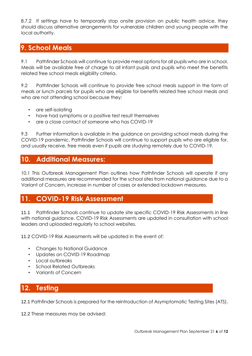8.7.2 If settings have to temporarily stop onsite provision on public health advice, they should discuss alternative arrangements for vulnerable children and young people with the local authority.

## **9. School Meals**

9.1 Pathfinder Schools will continue to provide meal options for all pupils who are in school. Meals will be available free of charge to all infant pupils and pupils who meet the benefits related free school meals eligibility criteria.

9.2 Pathfinder Schools will continue to provide free school meals support in the form of meals or lunch parcels for pupils who are eligible for benefits related free school meals and who are not attending school because they:

- are self-isolating
- have had symptoms or a positive test result themselves
- are a close contact of someone who has COVID-19

9.3 Further information is available in the guidance on providing school meals during the COVID-19 pandemic. Pathfinder Schools will continue to support pupils who are eligible for, and usually receive, free meals even if pupils are studying remotely due to COVID-19.

## **10. Additional Measures:**

10.1 This Outbreak Management Plan outlines how Pathfinder Schools will operate if any additional measures are recommended for the school sites from national guidance due to a Variant of Concern, increase in number of cases or extended lockdown measures.

## **11. COVID-19 Risk Assessment**

11.1 Pathfinder Schools continue to update site specific COVID-19 Risk Assessments in line with national guidance. COVID-19 Risk Assessments are updated in consultation with school leaders and uploaded regularly to school websites.

11.2 COVID-19 Risk Assessments will be updated in the event of:

- Changes to National Guidance
- Updates on COVID-19 Roadmap
- Local outbreaks
- School Related Outbreaks
- Variants of Concern

## **12. Testing**

12.1 Pathfinder Schools is prepared for the reintroduction of Asymptomatic Testing Sites (ATS).

12.2 These measures may be advised: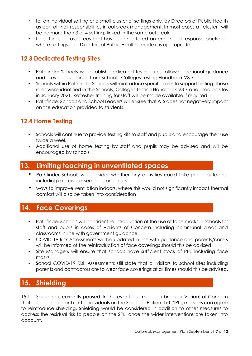- for an individual setting or a small cluster of settings only, by Directors of Public Health as part of their responsibilities in outbreak management. In most cases a "cluster" will be no more than 3 or 4 settings linked in the same outbreak
- for settings across areas that have been offered an enhanced response package, where settings and Directors of Public Health decide it is appropriate

#### **12.3 Dedicated Testing Sites**

- Pathfinder Schools will establish dedicated testing sites following national guidance and previous guidance from Schools, Colleges Testing Handbook V3.7.
- Schools within Pathfinder Schools will reintroduce specific roles to support testing. These roles were identified in the Schools, Colleges Testing Handbook V3.7 and used on sites in January 2021. Refresher training for staff will be made available if required.
- Pathfinder Schools and School Leaders will ensure that ATS does not negatively impact on the education provided to students.

## **12.4 Home Testing**

- Schools will continue to provide testing kits to staff and pupils and encourage their use twice a week.
- Additional use of home testing by staff and pupils may be advised and will be encouraged by schools.

## **13. Limiting teaching in unventilated spaces**

- Pathfinder Schools will consider whether any activities could take place outdoors, including exercise, assemblies, or classes
- ways to improve ventilation indoors, where this would not significantly impact thermal comfort will also be taken into consideration

## **14. Face Coverings**

- Pathfinder Schools will consider the introduction of the use of face masks in schools for staff and pupils in cases of Variants of Concern including communal areas and classrooms in line with government guidance.
- COVID-19 Risk Assessments will be updated in line with guidance and parents/carers will be informed of the reintroduction of face coverings should this be advised.
- Site Managers will ensure that schools have sufficient stock of PPE including face masks.
- School COVID-19 Risk Assessments still state that all visitors to school sites including parents and contractors are to wear face coverings at all times should this be advised.

## **15. Shielding**

15.1 Shielding is currently paused. In the event of a major outbreak or Variant of Concern that poses a significant risk to individuals on the Shielded Patient List (SPL), ministers can agree to reintroduce shielding. Shielding would be considered in addition to other measures to address the residual risk to people on the SPL, once the wider interventions are taken into account.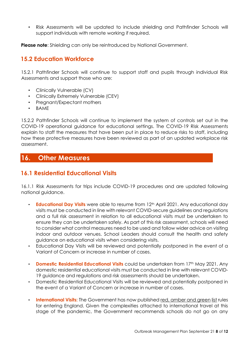• Risk Assessments will be updated to include shielding and Pathfinder Schools will support individuals with remote working if required.

**Please note**: Shielding can only be reintroduced by National Government.

#### **15.2 Education Workforce**

15.2.1 Pathfinder Schools will continue to support staff and pupils through individual Risk Assessments and support those who are:

- Clinically Vulnerable (CV)
- Clinically Extremely Vulnerable (CEV)
- Pregnant/Expectant mothers
- BAME

15.2.2 Pathfinder Schools will continue to implement the system of controls set out in the COVID-19 operational guidance for educational settings. The COVID-19 Risk Assessments explain to staff the measures that have been put in place to reduce risks to staff, including how these protective measures have been reviewed as part of an updated workplace risk assessment.

#### **16. Other Measures**

#### **16.1 Residential Educational Visits**

16.1.1 Risk Assessments for trips include COVID-19 procedures and are updated following national guidance.

- **Educational Day Visits** were able to resume from 12<sup>th</sup> April 2021. Any educational day visits must be conducted in line with relevant COVID-secure guidelines and regulations and a full risk assessment in relation to all educational visits must be undertaken to ensure they can be undertaken safely. As part of this risk assessment, schools will need to consider what control measures need to be used and follow wider advice on visiting indoor and outdoor venues. School Leaders should consult the health and safety guidance on educational visits when considering visits.
- Educational Day Visits will be reviewed and potentially postponed in the event of a Variant of Concern or increase in number of cases.
- **Domestic Residential Educational Visits** could be undertaken from 17<sup>th</sup> May 2021. Any domestic residential educational visits must be conducted in line with relevant COVID-19 guidance and regulations and risk assessments should be undertaken.
- Domestic Residential Educational Visits will be reviewed and potentially postponed in the event of a Variant of Concern or increase in number of cases.
- **International Visits:** The Government has now publishe[d](https://www.gov.uk/guidance/red-amber-and-green-list-rules-for-entering-england) [red,](https://www.gov.uk/guidance/red-amber-and-green-list-rules-for-entering-england) [amber](https://www.gov.uk/guidance/red-amber-and-green-list-rules-for-entering-england) [and](https://www.gov.uk/guidance/red-amber-and-green-list-rules-for-entering-england) [green](https://www.gov.uk/guidance/red-amber-and-green-list-rules-for-entering-england) [list](https://www.gov.uk/guidance/red-amber-and-green-list-rules-for-entering-england) rules for entering England. Given the complexities attached to international travel at this stage of the pandemic, the Government recommends schools do not go on any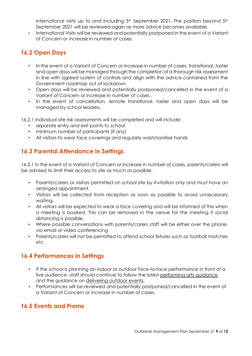international visits up to and including  $5<sup>th</sup>$  September 2021. The position beyond  $5<sup>th</sup>$ September 2021 will be reviewed again as more advice becomes available.

• International Visits will be reviewed and potentially postponed in the event of a Variant of Concern or increase in number of cases.

#### **16.2 Open Days**

- In the event of a Variant of Concern or increase in number of cases, transitional, taster and open days will be managed through the completion of a thorough risk assessment in line with agreed system of controls and align with the advice contained from the Government roadmap out of lockdown.
- Open days will be reviewed and potentially postponed/cancelled in the event of a Variant of Concern or increase in number of cases .
- In the event of cancellation, remote transitional, taster and open days will be managed by school leaders.

16.2.1 Individual site risk assessments will be completed and will include:

- separate entry and exit points to school
- minimum number of participants (if any)
- All visitors to wear face coverings and regularly wash/sanitise hands

#### **16.3 Parental Attendance in Settings**

16.3.1 In the event of a Variant of Concern or increase in number of cases, parents/carers will be advised to limit their access to site as much as possible.

- Parents/carers or visitors permitted on school site by invitation only and must have an arranged appointment.
- Visitors will be collected from reception as soon as possible to avoid unnecessary waiting.
- All visitors will be expected to wear a face covering and will be informed of this when a meeting is booked. This can be removed in the venue for the meeting if social distancing is possible.
- Where possible conversations with parents/carers staff will be either over the phone, via email or video conferencing
- Parents/carers will not be permitted to attend school fixtures such as football matches etc.

#### **16.4 Performances in Settings**

- If the school is planning an indoor or outdoor face-to-face performance in front of a live audience, staff should continue to follow the lates[t](https://www.gov.uk/guidance/working-safely-during-coronavirus-covid-19/performing-arts) [performing](https://www.gov.uk/guidance/working-safely-during-coronavirus-covid-19/performing-arts) [arts](https://www.gov.uk/guidance/working-safely-during-coronavirus-covid-19/performing-arts) [guidance,](https://www.gov.uk/guidance/working-safely-during-coronavirus-covid-19/performing-arts) and the guidance o[n](https://www.eventsindustryforum.co.uk/index.php/11-features/14-keeping-workers-and-audiences-safe-during-covid-19) [delivering](https://www.eventsindustryforum.co.uk/index.php/11-features/14-keeping-workers-and-audiences-safe-during-covid-19) [outdoor](https://www.eventsindustryforum.co.uk/index.php/11-features/14-keeping-workers-and-audiences-safe-during-covid-19) [events.](https://www.eventsindustryforum.co.uk/index.php/11-features/14-keeping-workers-and-audiences-safe-during-covid-19)
- Performances will be reviewed and potentially postponed/cancelled in the event of a Variant of Concern or increase in number of cases.

#### **16.5 Events and Proms**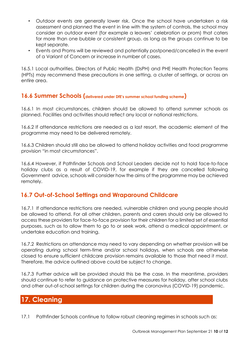- Outdoor events are generally lower risk. Once the school have undertaken a risk assessment and planned the event in line with the system of controls, the school may consider an outdoor event (for example a leavers' celebration or prom) that caters for more than one bubble or consistent group, as long as the groups continue to be kept separate.
- Events and Proms will be reviewed and potentially postponed/cancelled in the event of a Variant of Concern or increase in number of cases.

16.5.1 Local authorities, Directors of Public Health (DsPH) and PHE Health Protection Teams (HPTs) may recommend these precautions in one setting, a cluster of settings, or across an entire area.

#### **16.6 Summer Schools (delivered under DfE's summer school funding scheme)**

16.6.1 In most circumstances, children should be allowed to attend summer schools as planned. Facilities and activities should reflect any local or national restrictions.

16.6.2 If attendance restrictions are needed as a last resort, the academic element of the programme may need to be delivered remotely.

16.6.3 Children should still also be allowed to attend holiday activities and food programme provision "in most circumstances".

16.6.4 However, if Pathfinder Schools and School Leaders decide not to hold face-to-face holiday clubs as a result of COVID-19, for example if they are cancelled following Government advice, schools will consider how the aims of the programme may be achieved remotely.

#### **16.7 Out-of-School Settings and Wraparound Childcare**

16.7.1 If attendance restrictions are needed, vulnerable children and young people should be allowed to attend. For all other children, parents and carers should only be allowed to access these providers for face-to-face provision for their children for a limited set of essential purposes, such as to allow them to go to or seek work, attend a medical appointment, or undertake education and training.

16.7.2 Restrictions on attendance may need to vary depending on whether provision will be operating during school term-time and/or school holidays, when schools are otherwise closed to ensure sufficient childcare provision remains available to those that need it most. Therefore, the advice outlined above could be subject to change.

16.7.3 Further advice will be provided should this be the case. In the meantime, providers should continue to refer to guidance on protective measures for holiday, after school clubs and other out-of-school settings for children during the coronavirus (COVID-19) pandemic.

## **17. Cleaning**

17.1 Pathfinder Schools continue to follow robust cleaning regimes in schools such as: